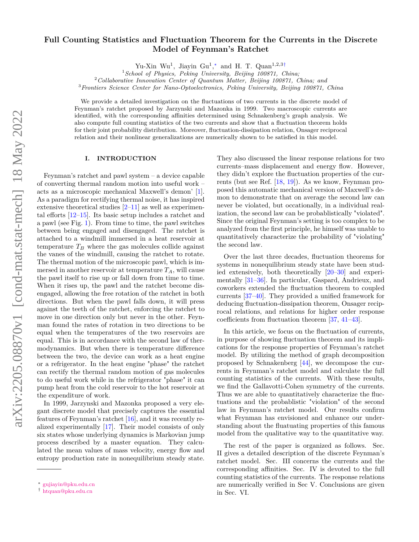# arXiv:2205.08870v1 [cond-mat.stat-mech] 18 May 2022 arXiv:2205.08870v1 [cond-mat.stat-mech] 18 May 2022

# **Full Counting Statistics and Fluctuation Theorem for the Currents in the Discrete Model of Feynman's Ratchet**

Yu-Xin Wu<sup>1</sup>, Jiayin Gu<sup>1</sup>,\* and H. T. Quan<sup>1,2,3[†](#page-0-1)</sup>

<sup>1</sup>*School of Physics, Peking University, Beijing 100871, China;*

<sup>2</sup>*Collaborative Innovation Center of Quantum Matter, Beijing 100871, China; and*

<sup>3</sup>*Frontiers Science Center for Nano-Optoelectronics, Peking University, Beijing 100871, China*

We provide a detailed investigation on the fluctuations of two currents in the discrete model of Feynman's ratchet proposed by Jarzynski and Mazonka in 1999. Two macroscopic currents are identified, with the corresponding affinities determined using Schnakenberg's graph analysis. We also compute full counting statistics of the two currents and show that a fluctuation theorem holds for their joint probability distribution. Moreover, fluctuation-dissipation relation, Onsager reciprocal relation and their nonlinear generalizations are numerically shown to be satisfied in this model.

## **I. INTRODUCTION**

Feynman's ratchet and pawl system – a device capable of converting thermal random motion into useful work – acts as a microscopic mechanical Maxwell's demon' [\[1\]](#page-8-0). As a paradigm for rectifying thermal noise, it has inspired extensive theoretical studies [\[2](#page-8-1)[–11\]](#page-9-0) as well as experimental efforts [\[12–](#page-9-1)[15\]](#page-9-2). Its basic setup includes a ratchet and a pawl (see Fig. [1\)](#page-1-0). From time to time, the pawl switches between being engaged and disengaged. The ratchet is attached to a windmill immersed in a heat reservoir at temperature  $T_B$  where the gas molecules collide against the vanes of the windmill, causing the ratchet to rotate. The thermal motion of the microscopic pawl, which is immersed in another reservoir at temperature  $T_A$ , will cause the pawl itself to rise up or fall down from time to time. When it rises up, the pawl and the ratchet become disengaged, allowing the free rotation of the ratchet in both directions. But when the pawl falls down, it will press against the teeth of the ratchet, enforcing the ratchet to move in one direction only but never in the other. Feynman found the rates of rotation in two directions to be equal when the temperatures of the two reservoirs are equal. This is in accordance with the second law of thermodynamics. But when there is temperature difference between the two, the device can work as a heat engine or a refrigerator. In the heat engine "phase" the ratchet can rectify the thermal random motion of gas molecules to do useful work while in the refrigerator "phase" it can pump heat from the cold reservoir to the hot reservoir at the expenditure of work.

In 1999, Jarzynski and Mazonka proposed a very elegant discrete model that precisely captures the essential features of Feynman's ratchet [\[16\]](#page-9-3), and it was recently realized experimentally [\[17\]](#page-9-4). Their model consists of only six states whose underlying dynamics is Markovian jump process described by a master equation. They calculated the mean values of mass velocity, energy flow and entropy production rate in nonequilibrium steady state. They also discussed the linear response relations for two currents–mass displacement and energy flow. However, they didn't explore the fluctuation properties of the currents (but see Ref. [\[18,](#page-9-5) [19\]](#page-9-6)). As we know, Feynman proposed this automatic mechanical version of Maxwell's demon to demonstrate that on average the second law can never be violated, but occationally, in a individual realization, the second law can be probablistically "violated". Since the original Feynman's setting is too complex to be analyzed from the first principle, he himself was unable to quantitatively characterize the probability of "violating" the second law.

Over the last three decades, fluctuation theorems for systems in nonequilibrium steady state have been studied extensively, both theoretically [\[20–](#page-9-7)[30\]](#page-9-8) and experimentally [\[31–](#page-9-9)[36\]](#page-9-10). In particular, Gaspard, Andrieux, and coworkers extended the fluctuation theorem to coupled currents [\[37](#page-9-11)[–40\]](#page-9-12). They provided a unified framework for deducing fluctuation-dissipation theorem, Onsager reciprocal relations, and relations for higher order response coefficients from fluctuation theorem [\[37,](#page-9-11) [41–](#page-9-13)[43\]](#page-9-14).

In this article, we focus on the fluctuation of currents, in purpose of showing fluctuation theorem and its implications for the response properties of Feynman's ratchet model. By utilizing the method of graph decomposition proposed by Schnakenberg [\[44\]](#page-9-15), we decompose the currents in Feynman's ratchet model and calculate the full counting statistics of the currents. With these results, we find the Gallavotti-Cohen symmetry of the currents. Thus we are able to quantitatively characterize the fluctuations and the probablistic "violation" of the second law in Feynman's ratchet model. Our results confirm what Feynman has envisioned and enhance our understanding about the fluatuating properties of this famous model from the qualitative way to the quantitative way.

The rest of the paper is organized as follows. Sec. II gives a detailed description of the discrete Feynman's ratchet model. Sec. III concerns the currents and the corresponding affinities. Sec. IV is devoted to the full counting statistics of the currents. The response relations are numerically verified in Sec V. Conclusions are given in Sec. VI.

<span id="page-0-0"></span><sup>∗</sup> [gujiayin@pku.edu.cn](mailto:gujiayin@pku.edu.cn)

<span id="page-0-1"></span><sup>†</sup> [htquan@pku.edu.cn](mailto:htquan@pku.edu.cn)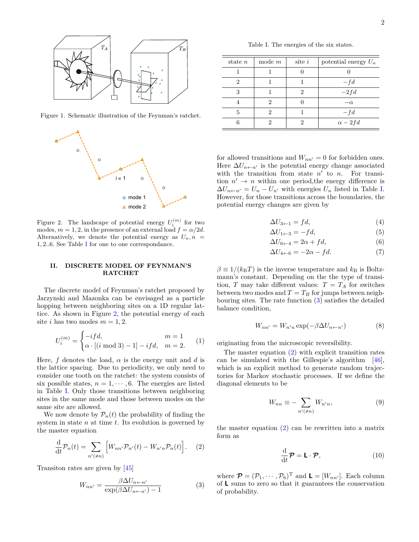<span id="page-1-1"></span>Table I. The energies of the six states.

| state $n$ | mode $m$ | $site$ <i>i</i> | potential energy $U_n$ |
|-----------|----------|-----------------|------------------------|
|           |          |                 |                        |
| 2         |          |                 | $-fd$                  |
|           |          | ')              | $-2fd$                 |
|           | 9        |                 | $-\alpha$              |
| 5         |          |                 | $-fd$                  |
|           |          | ٠,              | $\alpha - 2fd$         |

for allowed transitions and  $W_{nn'} = 0$  for forbidden ones. Here  $\Delta U_{n \leftarrow n'}$  is the potential energy change associated with the transition from state  $n'$  to  $n$ . For transition  $n' \rightarrow n$  within one period, the energy difference is  $\Delta U_{n \leftarrow n'} = U_n - U_{n'}$  with energies  $U_n$  listed in Table [I.](#page-1-1) However, for those transitions across the boundaries, the potential energy changes are given by

$$
\Delta U_{3 \leftarrow 1} = f d,\tag{4}
$$

$$
\Delta U_{1 \leftarrow 3} = -fd,\tag{5}
$$

$$
\Delta U_{6 \leftarrow 4} = 2\alpha + f d,\tag{6}
$$

$$
\Delta U_{4 \leftarrow 6} = -2\alpha - f d. \tag{7}
$$

 $\beta \equiv 1/(k_{\text{B}}T)$  is the inverse temperature and  $k_{\text{B}}$  is Boltzmann's constant. Depending on the the type of transition, *T* may take different values:  $T = T_A$  for switches between two modes and  $T = T_B$  for jumps between neighbouring sites. The rate function [\(3\)](#page-1-3) satisfies the detailed balance condition,

$$
W_{nn'} = W_{n'n} \exp(-\beta \Delta U_{n \leftarrow n'}) \tag{8}
$$

originating from the microscopic reversibility.

The master equation [\(2\)](#page-1-4) with explicit transition rates can be simulated with the Gillespie's algorithm [\[46\]](#page-9-17), which is an explicit method to generate random trajectories for Markov stochastic processes. If we define the diagonal elements to be

$$
W_{nn} \equiv -\sum_{n'(\neq n)} W_{n'n},\tag{9}
$$

<span id="page-1-4"></span>the master equation [\(2\)](#page-1-4) can be rewritten into a matrix form as

$$
\frac{\mathrm{d}}{\mathrm{d}t}\boldsymbol{\mathcal{P}} = \mathbf{L} \cdot \boldsymbol{\mathcal{P}},\tag{10}
$$

<span id="page-1-3"></span>where  $\mathcal{P} = (\mathcal{P}_1, \cdots, \mathcal{P}_6)^{\mathrm{T}}$  and  $\mathbf{L} = [W_{nn'}]$ . Each column of **L** sums to zero so that it guarantees the conservation of probability.



Figure 1. Schematic illustration of the Feynman's ratchet.

<span id="page-1-0"></span>

<span id="page-1-2"></span>Figure 2. The landscape of potential energy  $U_i^{(m)}$  for two modes,  $m = 1, 2$ , in the presence of an external load  $f = \alpha/2d$ . Alternatively, we denote the potential energy as  $U_n$ ,  $n =$ 1*,* 2*..*6*.* See Table [I](#page-1-1) for one to one correspondance.

### **II. DISCRETE MODEL OF FEYNMAN'S RATCHET**

The discrete model of Feynman's ratchet proposed by Jarzynski and Mazonka can be envisaged as a particle hopping between neighboring sites on a 1D regular lattice. As shown in Figure [2,](#page-1-2) the potential energy of each site *i* has two modes  $m = 1, 2$ .

$$
U_i^{(m)} = \begin{cases} -ifd, & m = 1\\ \alpha \cdot [(i \bmod 3) - 1] - ifd, & m = 2. \end{cases}
$$
 (1)

Here, *f* denotes the load,  $\alpha$  is the energy unit and *d* is the lattice spacing. Due to periodicity, we only need to consider one tooth on the ratchet: the system consists of six possible states,  $n = 1, \dots, 6$ . The energies are listed in Table [I.](#page-1-1) Only those transitions between neighboring sites in the same mode and those between modes on the same site are allowed.

We now denote by  $\mathcal{P}_n(t)$  the probability of finding the system in state *n* at time *t*. Its evolution is governed by the master equation

$$
\frac{\mathrm{d}}{\mathrm{d}t}\mathcal{P}_n(t) = \sum_{n' \neq n} \left[ W_{nn'} \mathcal{P}_{n'}(t) - W_{n'n} \mathcal{P}_n(t) \right]. \tag{2}
$$

Transiton rates are given by [\[45\]](#page-9-16)

$$
W_{nn'} = \frac{\beta \Delta U_{n \leftarrow n'}}{\exp(\beta \Delta U_{n \leftarrow n'}) - 1} \tag{3}
$$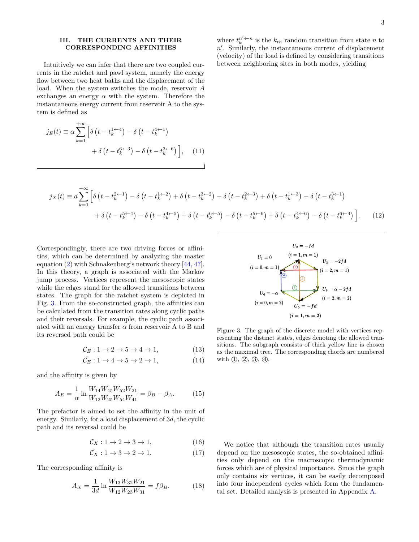# **III. THE CURRENTS AND THEIR CORRESPONDING AFFINITIES**

Intuitively we can infer that there are two coupled currents in the ratchet and pawl system, namely the energy flow between two heat baths and the displacement of the load. When the system switches the mode, reservoir *A* exchanges an energy  $\alpha$  with the system. Therefore the instantaneous energy current from reservoir A to the system is defined as

$$
j_E(t) \equiv \alpha \sum_{k=1}^{+\infty} \left[ \delta \left( t - t_k^{1 \leftarrow 4} \right) - \delta \left( t - t_k^{4 \leftarrow 1} \right) \right. \right. \\ \left. + \delta \left( t - t_k^{6 \leftarrow 3} \right) - \delta \left( t - t_k^{3 \leftarrow 6} \right) \right], \quad (11)
$$

where  $t_k^{n' \leftarrow n}$  is the  $k_{th}$  random transition from state *n* to  $n'$ . Similarly, the instantaneous current of displacement (velocity) of the load is defined by considering transitions between neighboring sites in both modes, yielding

$$
j_X(t) \equiv d \sum_{k=1}^{+\infty} \left[ \delta \left( t - t_k^{2 \leftarrow 1} \right) - \delta \left( t - t_k^{1 \leftarrow 2} \right) + \delta \left( t - t_k^{3 \leftarrow 2} \right) - \delta \left( t - t_k^{2 \leftarrow 3} \right) + \delta \left( t - t_k^{1 \leftarrow 3} \right) - \delta \left( t - t_k^{3 \leftarrow 1} \right) \right) \right] \right]
$$
  
+ 
$$
\delta \left( t - t_k^{5 \leftarrow 4} \right) - \delta \left( t - t_k^{4 \leftarrow 5} \right) + \delta \left( t - t_k^{6 \leftarrow 5} \right) - \delta \left( t - t_k^{5 \leftarrow 6} \right) + \delta \left( t - t_k^{4 \leftarrow 6} \right) - \delta \left( t - t_k^{6 \leftarrow 4} \right) \right] \right]. \tag{12}
$$

Correspondingly, there are two driving forces or affinities, which can be determined by analyzing the master equation [\(2\)](#page-1-4) with Schnakenberg's network theory [\[44,](#page-9-15) [47\]](#page-9-18). In this theory, a graph is associated with the Markov jump process. Vertices represent the mesoscopic states while the edges stand for the allowed transitions between states. The graph for the ratchet system is depicted in Fig. [3.](#page-2-0) From the so-constructed graph, the affinities can be calculated from the transition rates along cyclic paths and their reversals. For example, the cyclic path associated with an energy transfer  $\alpha$  from reservoir A to B and its reversed path could be

$$
\mathcal{C}_E: 1 \to 2 \to 5 \to 4 \to 1,\tag{13}
$$

$$
\tilde{\mathcal{C}_E} : 1 \to 4 \to 5 \to 2 \to 1,\tag{14}
$$

and the affinity is given by

$$
A_E = \frac{1}{\alpha} \ln \frac{W_{14} W_{45} W_{52} W_{21}}{W_{12} W_{25} W_{54} W_{41}} = \beta_B - \beta_A.
$$
 (15)

The prefactor is aimed to set the affinity in the unit of energy. Similarly, for a load displacement of 3*d*, the cyclic path and its reversal could be

$$
\mathcal{C}_X: 1 \to 2 \to 3 \to 1,\tag{16}
$$

$$
\tilde{\mathcal{C}_X} : 1 \to 3 \to 2 \to 1. \tag{17}
$$

The corresponding affinity is

$$
A_X = \frac{1}{3d} \ln \frac{W_{13} W_{32} W_{21}}{W_{12} W_{23} W_{31}} = f \beta_B.
$$
 (18)



<span id="page-2-0"></span>Figure 3. The graph of the discrete model with vertices representing the distinct states, edges denoting the allowed transitions. The subgraph consists of thick yellow line is chosen as the maximal tree. The corresponding chords are numbered with  $\mathbb{D}, \mathbb{Q}, \mathbb{G}, \mathbb{Q}.$ 

We notice that although the transition rates usually depend on the mesoscopic states, the so-obtained affinities only depend on the macroscopic thermodynamic forces which are of physical importance. Since the graph only contains six vertices, it can be easily decomposed into four independent cycles which form the fundamental set. Detailed analysis is presented in Appendix [A.](#page-6-0)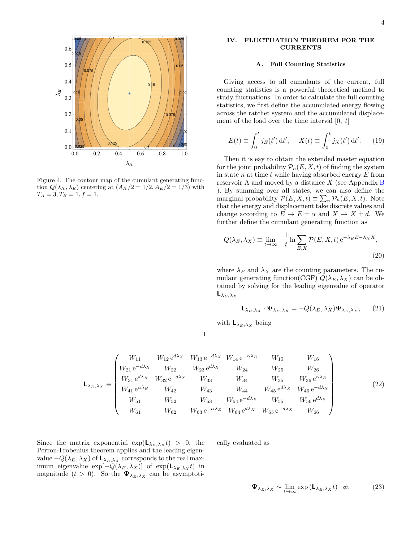

<span id="page-3-0"></span>Figure 4. The contour map of the cumulant generating function  $Q(\lambda_X, \lambda_E)$  centering at  $(A_X/2 = 1/2, A_E/2 = 1/3)$  with  $T_A = 3, T_B = 1, f = 1.$ 

# **IV. FLUCTUATION THEOREM FOR THE CURRENTS**

### **A. Full Counting Statistics**

Giving access to all cumulants of the current, full counting statistics is a powerful theoretical method to study fluctuations. In order to calculate the full counting statistics, we first define the accumulated energy flowing across the ratchet system and the accumulated displacement of the load over the time interval [0*, t*]

$$
E(t) \equiv \int_0^t j_E(t') dt', \quad X(t) \equiv \int_0^t j_X(t') dt'. \quad (19)
$$

Then it is eay to obtain the extended master equation for the joint probability  $\mathcal{P}_n(E, X, t)$  of finding the system in state *n* at time *t* while having absorbed energy *E* from reservoir A and moved by a distance *X* (see Appendix [B](#page-8-2) ). By summing over all states, we can also define the marginal probability  $\mathcal{P}(E, X, t) \equiv \sum_{n} \mathcal{P}_n(E, X, t)$ . Note that the energy and displacement take discrete values and change according to  $E \to E \pm \alpha$  and  $X \to X \pm d$ . We further define the cumulant generating function as

$$
Q(\lambda_E, \lambda_X) \equiv \lim_{t \to \infty} -\frac{1}{t} \ln \sum_{E, X} \mathcal{P}(E, X, t) e^{-\lambda_E E - \lambda_X X},
$$
\n(20)

where  $\lambda_E$  and  $\lambda_X$  are the counting parameters. The cumulant generating function(CGF)  $Q(\lambda_E, \lambda_X)$  can be obtained by solving for the leading eigenvalue of operator  $\mathsf{L}_{\lambda_E,\lambda_X}$ 

<span id="page-3-1"></span>
$$
\mathbf{L}_{\lambda_E,\lambda_X} \cdot \mathbf{\Psi}_{\lambda_E,\lambda_X} = -Q(\lambda_E,\lambda_X) \mathbf{\Psi}_{\lambda_E,\lambda_X},\qquad(21)
$$

with  $\mathbf{L}_{\lambda_E, \lambda_X}$  being

$$
\mathbf{L}_{\lambda_{E},\lambda_{X}} = \begin{pmatrix} W_{11} & W_{12} e^{d\lambda_{X}} & W_{13} e^{-d\lambda_{X}} & W_{14} e^{-\alpha \lambda_{E}} & W_{15} & W_{16} \\ W_{21} e^{-d\lambda_{X}} & W_{22} & W_{23} e^{d\lambda_{X}} & W_{24} & W_{25} & W_{26} \\ W_{31} e^{d\lambda_{X}} & W_{32} e^{-d\lambda_{X}} & W_{33} & W_{34} & W_{35} & W_{36} e^{\alpha \lambda_{E}} \\ W_{41} e^{\alpha \lambda_{E}} & W_{42} & W_{43} & W_{44} & W_{45} e^{d\lambda_{X}} & W_{46} e^{-d\lambda_{X}} \\ W_{51} & W_{52} & W_{53} & W_{54} e^{-d\lambda_{X}} & W_{55} & W_{56} e^{d\lambda_{X}} \\ W_{61} & W_{62} & W_{63} e^{-\alpha \lambda_{E}} & W_{64} e^{d\lambda_{X}} & W_{65} e^{-d\lambda_{X}} & W_{66} \end{pmatrix} .
$$
 (22)

Since the matrix exponential  $\exp(L_{\lambda_E,\lambda_X}t) > 0$ , the Perron-Frobenius theorem applies and the leading eigenvalue −*Q*(*λE, λX*) of **L***<sup>λ</sup>E,λ<sup>X</sup>* corresponds to the real maximum eigenvalue  $\exp[-Q(\lambda_E, \lambda_X)]$  of  $\exp(\mathbf{L}_{\lambda_E, \lambda_X}t)$  in magnitude  $(t > 0)$ . So the  $\Psi_{\lambda_E, \lambda_X}$  can be asymptotically evaluated as

$$
\Psi_{\lambda_E, \lambda_X} \sim \lim_{t \to \infty} \exp\left(\mathbf{L}_{\lambda_E, \lambda_X} t\right) \cdot \psi,\tag{23}
$$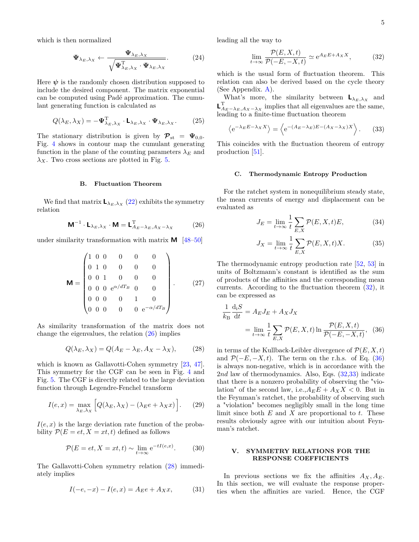which is then normalized

$$
\Psi_{\lambda_{E},\lambda_{X}} \leftarrow \frac{\Psi_{\lambda_{E},\lambda_{X}}}{\sqrt{\Psi_{\lambda_{E},\lambda_{X}}^{T} \cdot \Psi_{\lambda_{E},\lambda_{X}}}}.
$$
 (24)

Here  $\psi$  is the randomly chosen distribution supposed to include the desired component. The matrix exponential can be computed using Padé approximation. The cumulant generating function is calculated as

$$
Q(\lambda_E, \lambda_X) = -\Psi_{\lambda_E, \lambda_X}^{\mathrm{T}} \cdot \mathbf{L}_{\lambda_E, \lambda_X} \cdot \Psi_{\lambda_E, \lambda_X}.
$$
 (25)

The stationary distribution is given by  $\mathcal{P}_{\text{st}} = \Psi_{0,0}$ . Fig. [4](#page-3-0) shows in contour map the cumulant generating function in the plane of the counting parameters  $\lambda_E$  and  $λ<sub>X</sub>$ . Two cross sections are plotted in Fig. [5.](#page-5-0)

# **B. Fluctuation Theorem**

We find that matrix  $\mathbf{L}_{\lambda_E, \lambda_X}$  [\(22\)](#page-3-1) exhibits the symmetry relation

$$
\mathbf{M}^{-1} \cdot \mathbf{L}_{\lambda_E, \lambda_X} \cdot \mathbf{M} = \mathbf{L}_{A_E - \lambda_E, A_X - \lambda_X}^{\mathrm{T}} \tag{26}
$$

under similarity transformation with matrix **M** [\[48–](#page-9-19)[50\]](#page-9-20)

$$
\mathbf{M} = \begin{pmatrix} 1 & 0 & 0 & 0 & 0 & 0 \\ 0 & 1 & 0 & 0 & 0 & 0 \\ 0 & 0 & 1 & 0 & 0 & 0 \\ 0 & 0 & 0 & e^{\alpha/dT_B} & 0 & 0 \\ 0 & 0 & 0 & 0 & 1 & 0 \\ 0 & 0 & 0 & 0 & 0 & e^{-\alpha/dT_B} \end{pmatrix} .
$$
 (27)

As similarity transformation of the matrix does not change the eigenvalues, the relation  $(26)$  implies

$$
Q(\lambda_E, \lambda_X) = Q(A_E - \lambda_E, A_X - \lambda_X), \tag{28}
$$

which is known as Gallavotti-Cohen symmetry [\[23,](#page-9-21) [47\]](#page-9-18). This symmetry for the CGF can be seen in Fig. [4](#page-3-0) and Fig. [5.](#page-5-0) The CGF is directly related to the large deviation function through Legendre-Fenchel transform

$$
I(e,x) = \max_{\lambda_E, \lambda_X} \left[ Q(\lambda_E, \lambda_X) - (\lambda_E e + \lambda_X x) \right].
$$
 (29)

 $I(e, x)$  is the large deviation rate function of the probability  $P(E = et, X = xt, t)$  defined as follows

$$
\mathcal{P}(E = et, X = xt, t) \sim \lim_{t \to \infty} e^{-tI(e, x)}.
$$
 (30)

The Gallavotti-Cohen symmetry relation [\(28\)](#page-4-1) immediately implies

$$
I(-e, -x) - I(e, x) = A_E e + A_X x, \tag{31}
$$

leading all the way to

<span id="page-4-4"></span><span id="page-4-2"></span>
$$
\lim_{t \to \infty} \frac{\mathcal{P}(E, X, t)}{\mathcal{P}(-E, -X, t)} \simeq e^{A_E E + A_X X}, \tag{32}
$$

which is the usual form of fluctuation theorem. This relation can also be derived based on the cycle theory (See Appendix. [A\)](#page-6-0).

What's more, the similarity between  $\mathbf{L}_{\lambda_E, \lambda_X}$  and **L**<sup>T</sup><sub>*A*<sup>*E*</sup> − *λ*<sub>*E*</sub> *A*<sub>*X*</sub> − *λ*<sub>*X*</sub> implies that all eigenvalues are the same,</sub> leading to a finite-time fluctuation theorem

$$
\left\langle e^{-\lambda_E E - \lambda_X X} \right\rangle = \left\langle e^{-(A_E - \lambda_E)E - (A_X - \lambda_X)X} \right\rangle. \tag{33}
$$

This coincides with the fluctuation theorem of entropy production [\[51\]](#page-9-22).

### **C. Thermodynamic Entropy Production**

<span id="page-4-0"></span>For the ratchet system in nonequilibrium steady state, the mean currents of energy and displacement can be evaluated as

$$
J_E = \lim_{t \to \infty} \frac{1}{t} \sum_{E,X} \mathcal{P}(E,X,t)E,\tag{34}
$$

<span id="page-4-3"></span>
$$
J_X = \lim_{t \to \infty} \frac{1}{t} \sum_{E,X} \mathcal{P}(E,X,t)X.
$$
 (35)

The thermodynamic entropy production rate [\[52,](#page-9-23) [53\]](#page-9-24) in units of Boltzmann's constant is identified as the sum of products of the affinities and the corresponding mean currents. According to the fluctuation theorem [\(32\)](#page-4-2), it can be expressed as

$$
\frac{1}{k_{\rm B}} \frac{d_{\rm i}S}{dt} = A_E J_E + A_X J_X
$$

$$
= \lim_{t \to \infty} \frac{1}{t} \sum_{E,X} \mathcal{P}(E,X,t) \ln \frac{\mathcal{P}(E,X,t)}{\mathcal{P}(-E,-X,t)}, \quad (36)
$$

<span id="page-4-1"></span>in terms of the Kullback-Leibler divergence of  $\mathcal{P}(E, X, t)$ and  $\mathcal{P}(-E, -X, t)$ . The term on the r.h.s. of Eq. [\(36\)](#page-4-3) is always non-negative, which is in accordance with the 2*nd* law of thermodynamics. Also, Eqs. [\(32,](#page-4-2)[33\)](#page-4-4) indicate that there is a nonzero probability of observing the "violation" of the second law, i.e., $A_E E + A_X X < 0$ . But in the Feynman's ratchet, the probability of observing such a "violation" becomes negligibly small in the long time limit since both *E* and *X* are proportional to *t*. These results obviously agree with our intuition about Feynman's ratchet.

# **V. SYMMETRY RELATIONS FOR THE RESPONSE COEFFICIENTS**

In previous sections we fix the affinities  $A_X, A_E$ . In this section, we will evaluate the response properties when the affinities are varied. Hence, the CGF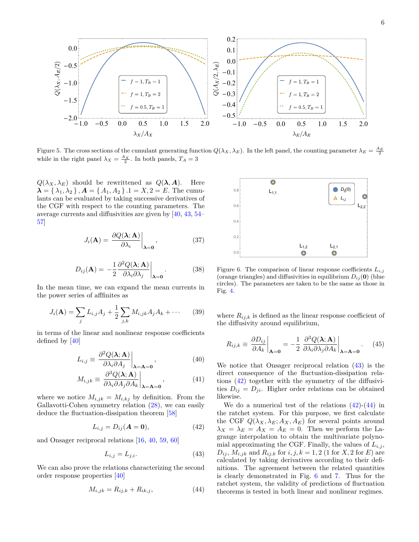

<span id="page-5-0"></span>Figure 5. The cross sections of the cumulant generating function  $Q(\lambda_X, \lambda_E)$ . In the left panel, the counting parameter  $\lambda_E = \frac{A_E}{2}$ while in the right panel  $\lambda_X = \frac{A_X}{2}$ . In both panels,  $T_A = 3$ 

 $Q(\lambda_X, \lambda_E)$  should be rewrittened as  $Q(\lambda, A)$ . Here  $\lambda = \{ \lambda_1, \lambda_2 \}, \mathbf{A} = \{ A_1, A_2 \}.$   $1 = X, 2 = E$ . The cumulants can be evaluated by taking successive derivatives of the CGF with respect to the counting parameters. The average currents and diffusivities are given by [\[40,](#page-9-12) [43,](#page-9-14) [54–](#page-9-25) [57\]](#page-9-26)

$$
J_i(\mathbf{A}) = \left. \frac{\partial Q(\mathbf{\lambda}; \mathbf{A})}{\partial \lambda_i} \right|_{\mathbf{\lambda} = \mathbf{0}},
$$
 (37)

$$
D_{ij}(\mathbf{A}) = -\frac{1}{2} \frac{\partial^2 Q(\mathbf{\lambda}; \mathbf{A})}{\partial \lambda_i \partial \lambda_j} \bigg|_{\mathbf{\lambda} = \mathbf{0}}.
$$
 (38)

In the mean time, we can expand the mean currents in the power series of afffinites as

$$
J_i(\mathbf{A}) = \sum_j L_{i,j} A_j + \frac{1}{2} \sum_{j,k} M_{i,jk} A_j A_k + \cdots
$$
 (39)

in terms of the linear and nonlinear response coefficients defined by [\[40\]](#page-9-12)

$$
L_{i,j} \equiv \left. \frac{\partial^2 Q(\lambda; \mathbf{A})}{\partial \lambda_i \partial A_j} \right|_{\lambda = \mathbf{A} = \mathbf{0}},
$$
 (40)

$$
M_{i,jk} \equiv \left. \frac{\partial^3 Q(\lambda; \mathbf{A})}{\partial \lambda_i \partial A_j \partial A_k} \right|_{\lambda = \mathbf{A} = \mathbf{0}},\tag{41}
$$

where we notice  $M_{i,jk} = M_{i,kj}$  by definition. From the Gallavotti-Cohen symmetry relation [\(28\)](#page-4-1), we can easily deduce the fluctuation-dissipation theorem [\[58\]](#page-9-27)

$$
L_{i,j} = D_{ij}(\mathbf{A} = \mathbf{0}),\tag{42}
$$

and Onsager reciprocal relations [\[16,](#page-9-3) [40,](#page-9-12) [59,](#page-9-28) [60\]](#page-9-29)

$$
L_{i,j} = L_{j,i}.\tag{43}
$$

We can also prove the relations characterizing the second order response properties [\[40\]](#page-9-12)

$$
M_{i,jk} = R_{ij,k} + R_{ik,j},\tag{44}
$$



<span id="page-5-4"></span>Figure 6. The comparison of linear response coefficients  $L_{i,j}$ (orange triangles) and diffusivities in equilibrium  $D_{ij}(\mathbf{0})$  (blue circles). The parameters are taken to be the same as those in Fig. [4.](#page-3-0)

where  $R_{ij,k}$  is defined as the linear response coefficient of the diffusivity around equilibrium,

<span id="page-5-5"></span>
$$
R_{ij,k} \equiv \left. \frac{\partial D_{ij}}{\partial A_k} \right|_{\mathbf{A} = \mathbf{0}} = -\frac{1}{2} \left. \frac{\partial^3 Q(\mathbf{\lambda}; \mathbf{A})}{\partial \lambda_i \partial \lambda_j \partial A_k} \right|_{\mathbf{\lambda} = \mathbf{A} = \mathbf{0}}.
$$
 (45)

We notice that Onsager reciprocal relation [\(43\)](#page-5-1) is the direct consequence of the fluctuation-dissipation relations [\(42\)](#page-5-2) together with the symmetry of the diffusivities  $D_{ij} = D_{ji}$ . Higher order relations can be obtained likewise.

<span id="page-5-3"></span><span id="page-5-2"></span><span id="page-5-1"></span>We do a numerical test of the relations  $(42)-(44)$  $(42)-(44)$  $(42)-(44)$  in the ratchet system. For this purpose, we first calculate the CGF  $Q(\lambda_X, \lambda_E; A_X, A_E)$  for several points around  $\lambda_X = \lambda_E = A_X = A_E = 0$ . Then we perform the Lagrange interpolation to obtain the multivariate polynomial approximating the CGF. Finally, the values of  $L_{i,j}$ ,  $D_{ij}$ ,  $M_{i,jk}$  and  $R_{ij,k}$  for  $i, j, k = 1, 2$  (1 for *X*, 2 for *E*) are calculated by taking derivatives according to their definitions. The agreement between the related quantities is clearly demonstrated in Fig. [6](#page-5-4) and [7.](#page-6-1) Thus for the ratchet system, the validity of predictions of fluctuation theorems is tested in both linear and nonlinear regimes.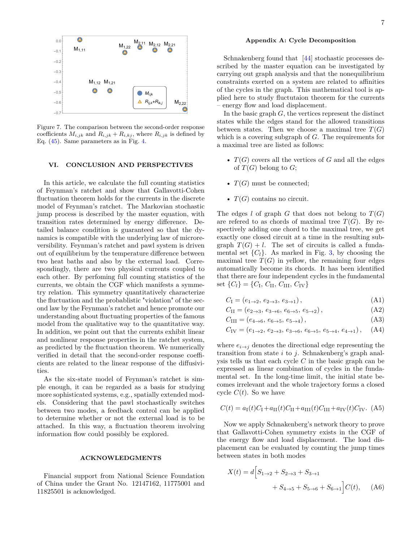

<span id="page-6-1"></span>Figure 7. The comparison between the second-order response coefficients  $M_{i,jk}$  and  $R_{i,jk} + R_{i,kj}$ , where  $R_{i,jk}$  is defined by Eq. [\(45\)](#page-5-5). Same parameters as in Fig. [4.](#page-3-0)

### **VI. CONCLUSION AND PERSPECTIVES**

In this article, we calculate the full counting statistics of Feynman's ratchet and show that Gallavotti-Cohen fluctuation theorem holds for the currents in the discrete model of Feynman's ratchet. The Markovian stochastic jump process is described by the master equation, with transition rates determined by energy difference. Detailed balance condition is guaranteed so that the dynamics is compatible with the underlying law of microreversibility. Feynman's ratchet and pawl system is driven out of equilibrium by the temperature difference between two heat baths and also by the external load. Correspondingly, there are two physical currents coupled to each other. By perfoming full counting statistics of the currents, we obtain the CGF which manifests a symmetry relation. This symmetry quantitatively characterize the fluctuation and the probablistic "violation" of the second law by the Feynman's ratchet and hence promote our understanding about fluctuating properties of the famous model from the qualitative way to the quantitative way. In addition, we point out that the currents exhibit linear and nonlinear response properties in the ratchet system, as predicted by the fluctuation theorem. We numerically verified in detail that the second-order response coefficients are related to the linear response of the diffusivities.

As the six-state model of Feynman's ratchet is simple enough, it can be regarded as a basis for studying more sophisticated systems, e.g., spatially extended models. Considering that the pawl stochastically switches between two modes, a feedback control can be applied to determine whether or not the external load is to be attached. In this way, a fluctuation theorem involving information flow could possibly be explored.

### **ACKNOWLEDGMENTS**

Financial support from National Science Foundation of China under the Grant No. 12147162, 11775001 and 11825501 is acknowledged.

### <span id="page-6-0"></span>**Appendix A: Cycle Decomposition**

Schnakenberg found that [\[44\]](#page-9-15) stochastic processes described by the master equation can be investigated by carrying out graph analysis and that the nonequilibrium constraints exerted on a system are related to affinities of the cycles in the graph. This mathematical tool is applied here to study fluctutaion theorem for the currents – energy flow and load displacement.

In the basic graph *G*, the vertices represent the distinct states while the edges stand for the allowed transitions between states. Then we choose a maximal tree  $T(G)$ which is a covering subgraph of *G*. The requirements for a maximal tree are listed as follows:

- $T(G)$  covers all the vertices of  $G$  and all the edges of  $T(G)$  belong to  $G$ ;
- $T(G)$  must be connected;
- $T(G)$  contains no circuit.

The edges *l* of graph *G* that does not belong to  $T(G)$ are refered to as chords of maximal tree  $T(G)$ . By respectively adding one chord to the maximal tree, we get exactly one closed circuit at a time in the resulting subgraph  $T(G) + l$ . The set of circuits is called a fundamental set  $\{C_l\}$ . As marked in Fig. [3,](#page-2-0) by choosing the maximal tree  $T(G)$  in yellow, the remaining four edges automatically become its chords. It has been identified that there are four independent cycles in the fundamental set  $\{C_l\} = \{C_I, C_{II}, C_{III}, C_{IV}\}$ 

$$
C_{I} = (e_{1 \to 2}, e_{2 \to 3}, e_{3 \to 1}), \tag{A1}
$$

$$
C_{\text{II}} = (e_{2 \to 3}, e_{3 \to 6}, e_{6 \to 5}, e_{5 \to 2}), \tag{A2}
$$

$$
C_{\text{III}} = (e_{4 \to 6}, \, e_{6 \to 5}, \, e_{5 \to 4}), \tag{A3}
$$

$$
C_{\text{IV}} = (e_{1 \to 2}, e_{2 \to 3}, e_{3 \to 6}, e_{6 \to 5}, e_{5 \to 4}, e_{4 \to 1}), \quad (A4)
$$

where  $e_{i\rightarrow j}$  denotes the directional edge representing the transition from state *i* to *j*. Schnakenberg's graph analysis tells us that each cycle *C* in the basic graph can be expressed as linear combination of cycles in the fundamental set. In the long-time limit, the initial state becomes irrelevant and the whole trajectory forms a closed cycle  $C(t)$ . So we have

$$
C(t) = a_{\rm I}(t)C_{\rm I} + a_{\rm II}(t)C_{\rm II} + a_{\rm III}(t)C_{\rm III} + a_{\rm IV}(t)C_{\rm IV}.
$$
 (A5)

Now we apply Schnakenberg's network theory to prove that Gallavotti-Cohen symmetry exists in the CGF of the energy flow and load displacement. The load displacement can be evaluated by counting the jump times between states in both modes

<span id="page-6-2"></span>
$$
X(t) = d \Big[ S_{1 \to 2} + S_{2 \to 3} + S_{3 \to 1} + S_{4 \to 5} + S_{5 \to 6} + S_{6 \to 1} \Big] C(t), \quad (A6)
$$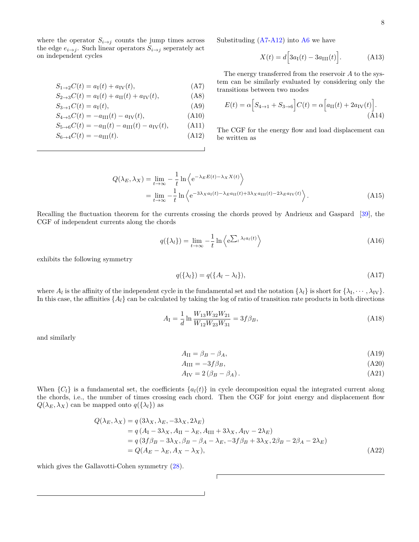where the operator  $S_{i\rightarrow j}$  counts the jump times across the edge  $e_{i\rightarrow j}$ . Such linear operators  $S_{i\rightarrow j}$  seperately act on independent cycles

$$
S_{1\to 2}C(t) = a_{\rm I}(t) + a_{\rm IV}(t),\tag{A7}
$$

$$
S_{2 \to 3} C(t) = a_{\rm I}(t) + a_{\rm II}(t) + a_{\rm IV}(t), \tag{A8}
$$

$$
S_{3\to 1}C(t) = a_{\rm I}(t),\tag{A9}
$$

$$
S_{4 \to 5}C(t) = -a_{\text{III}}(t) - a_{\text{IV}}(t), \tag{A10}
$$

$$
S_{5\to 6}C(t) = -a_{\text{II}}(t) - a_{\text{III}}(t) - a_{\text{IV}}(t), \tag{A11}
$$

$$
S_{6\to 4}C(t) = -a_{\rm III}(t). \tag{A12}
$$

Substituding  $(A7-A12)$  $(A7-A12)$  into [A6](#page-6-2) we have

$$
X(t) = d\Big[3a_{\rm I}(t) - 3a_{\rm III}(t)\Big].\tag{A13}
$$

<span id="page-7-0"></span>The energy transferred from the reservoir *A* to the system can be similarly evaluated by considering only the transitions between two modes

$$
E(t) = \alpha \Big[ S_{4 \to 1} + S_{3 \to 6} \Big] C(t) = \alpha \Big[ a_{\text{II}}(t) + 2a_{\text{IV}}(t) \Big]. \tag{A14}
$$

<span id="page-7-1"></span>The CGF for the energy flow and load displacement can be written as

$$
Q(\lambda_E, \lambda_X) = \lim_{t \to \infty} -\frac{1}{t} \ln \left\langle e^{-\lambda_E E(t) - \lambda_X X(t)} \right\rangle
$$
  
= 
$$
\lim_{t \to \infty} -\frac{1}{t} \ln \left\langle e^{-3\lambda_X a_I(t) - \lambda_E a_{II}(t) + 3\lambda_X a_{III}(t) - 2\lambda_E a_{IV}(t)} \right\rangle.
$$
 (A15)

Recalling the fluctuation theorem for the currents crossing the chords proved by Andrieux and Gaspard [\[39\]](#page-9-30), the CGF of independent currents along the chords

$$
q(\{\lambda_l\}) = \lim_{t \to \infty} -\frac{1}{t} \ln \left\langle e^{\sum_l \lambda_l a_l(t)} \right\rangle \tag{A16}
$$

exhibits the following symmetry

$$
q(\{\lambda_l\}) = q(\{A_l - \lambda_l\}),\tag{A17}
$$

where  $A_l$  is the affinity of the independent cycle in the fundamental set and the notation  $\{\lambda_l\}$  is short for  $\{\lambda_I, \dots, \lambda_{IV}\}$ . In this case, the affinities  $\{A_l\}$  can be calculated by taking the log of ratio of transition rate products in both directions

$$
A_{\rm I} = \frac{1}{d} \ln \frac{W_{13} W_{32} W_{21}}{W_{12} W_{23} W_{31}} = 3f \beta_B,
$$
\n(A18)

and similarly

$$
A_{\rm II} = \beta_B - \beta_A,\tag{A19}
$$

$$
A_{\rm III} = -3f\beta_B,\tag{A20}
$$

$$
A_{\rm IV} = 2\left(\beta_B - \beta_A\right). \tag{A21}
$$

When  ${C_l}$  is a fundamental set, the coefficients  ${a_l}(t)$  in cycle decomposition equal the integrated current along the chords, i.e., the number of times crossing each chord. Then the CGF for joint energy and displacement flow  $Q(\lambda_E, \lambda_X)$  can be mapped onto  $q(\{\lambda_l\})$  as

$$
Q(\lambda_E, \lambda_X) = q(3\lambda_X, \lambda_E, -3\lambda_X, 2\lambda_E)
$$
  
=  $q(A_I - 3\lambda_X, A_{II} - \lambda_E, A_{III} + 3\lambda_X, A_{IV} - 2\lambda_E)$   
=  $q(3f\beta_B - 3\lambda_X, \beta_B - \beta_A - \lambda_E, -3f\beta_B + 3\lambda_X, 2\beta_B - 2\beta_A - 2\lambda_E)$   
=  $Q(A_E - \lambda_E, A_X - \lambda_X),$  (A22)

which gives the Gallavotti-Cohen symmetry [\(28\)](#page-4-1).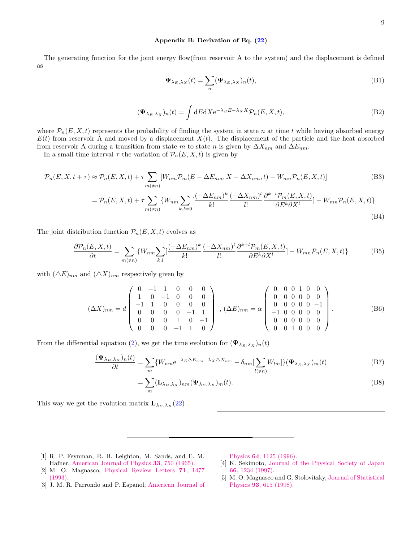## <span id="page-8-2"></span>**Appendix B: Derivation of Eq. [\(22\)](#page-3-1)**

The generating function for the joint energy flow(from reservoir A to the system) and the displacement is defined as

$$
\Psi_{\lambda_E,\lambda_X}(t) = \sum_n (\Psi_{\lambda_E,\lambda_X})_n(t),\tag{B1}
$$

$$
(\Psi_{\lambda_E,\lambda_X})_n(t) = \int dE dX \mathrm{e}^{-\lambda_E E - \lambda_X X} \mathcal{P}_n(E,X,t), \tag{B2}
$$

where  $\mathcal{P}_n(E, X, t)$  represents the probability of finding the system in state *n* at time *t* while having absorbed energy  $E(t)$  from reservoir A and moved by a displacement  $X(t)$ . The displacement of the particle and the heat absorbed from reservoir A during a transition from state *m* to state *n* is given by  $\Delta X_{nm}$  and  $\Delta E_{nm}$ .

In a small time interval  $\tau$  the variation of  $\mathcal{P}_n(E, X, t)$  is given by

$$
\mathcal{P}_n(E, X, t + \tau) \approx \mathcal{P}_n(E, X, t) + \tau \sum_{m(\neq n)} [W_{nm} \mathcal{P}_m(E - \Delta E_{nm}, X - \Delta X_{nm}, t) - W_{mn} \mathcal{P}_n(E, X, t)] \tag{B3}
$$

$$
= \mathcal{P}_n(E, X, t) + \tau \sum_{m(\neq n)} \{W_{nm} \sum_{k,l=0} \left[\frac{(-\Delta E_{nm})^k}{k!} \frac{(-\Delta X_{nm})^l}{l!} \frac{\partial^{k+l} \mathcal{P}_m(E, X, t)}{\partial E^k \partial X^l}\right] - W_{mn} \mathcal{P}_n(E, X, t)\}.
$$
\n(B4)

The joint distribution function  $\mathcal{P}_n(E, X, t)$  evolves as

$$
\frac{\partial \mathcal{P}_n(E, X, t)}{\partial t} = \sum_{m(\neq n)} \{W_{nm} \sum_{k,l} \left[ \frac{(-\Delta E_{nm})^k}{k!} \frac{(-\Delta X_{nm})^l}{l!} \frac{\partial^{k+l} \mathcal{P}_m(E, X, t)}{\partial E^k \partial X^l} \right] - W_{mn} \mathcal{P}_n(E, X, t) \}
$$
(B5)

with  $(\triangle E)_{nm}$  and  $(\triangle X)_{nm}$  respectively given by

$$
(\Delta X)_{nm} = d \begin{pmatrix} 0 & -1 & 1 & 0 & 0 & 0 \\ 1 & 0 & -1 & 0 & 0 & 0 \\ -1 & 1 & 0 & 0 & 0 & 0 \\ 0 & 0 & 0 & 0 & -1 & 1 \\ 0 & 0 & 0 & 1 & 0 & -1 \\ 0 & 0 & 0 & -1 & 1 & 0 \end{pmatrix}, (\Delta E)_{nm} = \alpha \begin{pmatrix} 0 & 0 & 0 & 1 & 0 & 0 \\ 0 & 0 & 0 & 0 & 0 & 0 \\ 0 & 0 & 0 & 0 & 0 & -1 \\ -1 & 0 & 0 & 0 & 0 & 0 \\ 0 & 0 & 0 & 0 & 0 & 0 \\ 0 & 0 & 1 & 0 & 0 & 0 \end{pmatrix}.
$$
 (B6)

From the differential equation [\(2\)](#page-1-4), we get the time evolution for  $(\mathbf{\Psi}_{\lambda_E,\lambda_X})_n(t)$ 

$$
\frac{(\Psi_{\lambda_E,\lambda_X})_n(t)}{\partial t} = \sum_m \{W_{nm}e^{-\lambda_E \Delta E_{nm} - \lambda_X \Delta X_{nm}} - \delta_{nm}[\sum_{l(\neq n)} W_{lm}]\}(\Psi_{\lambda_E,\lambda_X})_m(t)
$$
(B7)

$$
= \sum_{m} (\mathbf{L}_{\lambda_E, \lambda_X})_{nm} (\Psi_{\lambda_E, \lambda_X})_m(t).
$$
 (B8)

This way we get the evolution matrix  $\mathbf{L}_{\lambda_E, \lambda_X}(22)$  $\mathbf{L}_{\lambda_E, \lambda_X}(22)$ .

- <span id="page-8-0"></span>[1] R. P. Feynman, R. B. Leighton, M. Sands, and E. M. Hafner, [American Journal of Physics](https://doi.org/10.1119/1.1972241) **33**, 750 (1965).
- <span id="page-8-1"></span>[2] M. O. Magnasco, [Physical Review Letters](https://doi.org/10.1103/physrevlett.71.1477) **71**, 1477 [\(1993\).](https://doi.org/10.1103/physrevlett.71.1477)
- [3] J. M. R. Parrondo and P. Español, [American Journal of](https://doi.org/10.1119/1.18393)

Physics **64**[, 1125 \(1996\).](https://doi.org/10.1119/1.18393)

- [4] K. Sekimoto, [Journal of the Physical Society of Japan](https://doi.org/10.1143/jpsj.66.1234) **66**[, 1234 \(1997\).](https://doi.org/10.1143/jpsj.66.1234)
- [5] M. O. Magnasco and G. Stolovitzky, [Journal of Statistical](https://doi.org/10.1023/b:joss.0000033245.43421.14) Physics **93**[, 615 \(1998\).](https://doi.org/10.1023/b:joss.0000033245.43421.14)